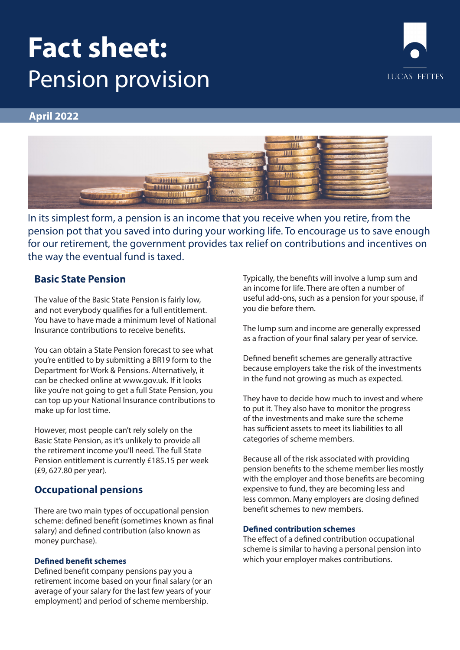# **Fact sheet:** Pension provision



## **April 2022**



In its simplest form, a pension is an income that you receive when you retire, from the pension pot that you saved into during your working life. To encourage us to save enough for our retirement, the government provides tax relief on contributions and incentives on the way the eventual fund is taxed.

## **Basic State Pension**

The value of the Basic State Pension is fairly low, and not everybody qualifies for a full entitlement. You have to have made a minimum level of National Insurance contributions to receive benefits.

You can obtain a State Pension forecast to see what you're entitled to by submitting a BR19 form to the Department for Work & Pensions. Alternatively, it can be checked online at www.gov.uk. If it looks like you're not going to get a full State Pension, you can top up your National Insurance contributions to make up for lost time.

However, most people can't rely solely on the Basic State Pension, as it's unlikely to provide all the retirement income you'll need. The full State Pension entitlement is currently £185.15 per week (£9, 627.80 per year).

## **Occupational pensions**

There are two main types of occupational pension scheme: defined benefit (sometimes known as final salary) and defined contribution (also known as money purchase).

## **Defined benefit schemes**

Defined benefit company pensions pay you a retirement income based on your final salary (or an average of your salary for the last few years of your employment) and period of scheme membership.

Typically, the benefits will involve a lump sum and an income for life. There are often a number of useful add-ons, such as a pension for your spouse, if you die before them.

The lump sum and income are generally expressed as a fraction of your final salary per year of service.

Defined benefit schemes are generally attractive because employers take the risk of the investments in the fund not growing as much as expected.

They have to decide how much to invest and where to put it. They also have to monitor the progress of the investments and make sure the scheme has sufficient assets to meet its liabilities to all categories of scheme members.

Because all of the risk associated with providing pension benefits to the scheme member lies mostly with the employer and those benefits are becoming expensive to fund, they are becoming less and less common. Many employers are closing defined benefit schemes to new members.

## **Defined contribution schemes**

The effect of a defined contribution occupational scheme is similar to having a personal pension into which your employer makes contributions.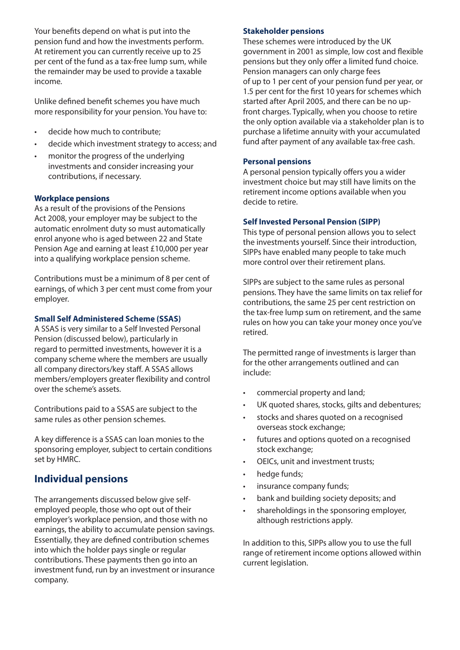Your benefits depend on what is put into the pension fund and how the investments perform. At retirement you can currently receive up to 25 per cent of the fund as a tax-free lump sum, while the remainder may be used to provide a taxable income.

Unlike defined benefit schemes you have much more responsibility for your pension. You have to:

- decide how much to contribute;
- decide which investment strategy to access; and
- monitor the progress of the underlying investments and consider increasing your contributions, if necessary.

### **Workplace pensions**

As a result of the provisions of the Pensions Act 2008, your employer may be subject to the automatic enrolment duty so must automatically enrol anyone who is aged between 22 and State Pension Age and earning at least £10,000 per year into a qualifying workplace pension scheme.

Contributions must be a minimum of 8 per cent of earnings, of which 3 per cent must come from your employer.

#### **Small Self Administered Scheme (SSAS)**

A SSAS is very similar to a Self Invested Personal Pension (discussed below), particularly in regard to permitted investments, however it is a company scheme where the members are usually all company directors/key staff. A SSAS allows members/employers greater flexibility and control over the scheme's assets.

Contributions paid to a SSAS are subject to the same rules as other pension schemes.

A key difference is a SSAS can loan monies to the sponsoring employer, subject to certain conditions set by HMRC.

## **Individual pensions**

The arrangements discussed below give selfemployed people, those who opt out of their employer's workplace pension, and those with no earnings, the ability to accumulate pension savings. Essentially, they are defined contribution schemes into which the holder pays single or regular contributions. These payments then go into an investment fund, run by an investment or insurance company.

#### **Stakeholder pensions**

These schemes were introduced by the UK government in 2001 as simple, low cost and flexible pensions but they only offer a limited fund choice. Pension managers can only charge fees of up to 1 per cent of your pension fund per year, or 1.5 per cent for the first 10 years for schemes which started after April 2005, and there can be no upfront charges. Typically, when you choose to retire the only option available via a stakeholder plan is to purchase a lifetime annuity with your accumulated fund after payment of any available tax-free cash.

### **Personal pensions**

A personal pension typically offers you a wider investment choice but may still have limits on the retirement income options available when you decide to retire.

#### **Self Invested Personal Pension (SIPP)**

This type of personal pension allows you to select the investments yourself. Since their introduction, SIPPs have enabled many people to take much more control over their retirement plans.

SIPPs are subject to the same rules as personal pensions. They have the same limits on tax relief for contributions, the same 25 per cent restriction on the tax-free lump sum on retirement, and the same rules on how you can take your money once you've retired.

The permitted range of investments is larger than for the other arrangements outlined and can include:

- commercial property and land;
- UK quoted shares, stocks, gilts and debentures;
- stocks and shares quoted on a recognised overseas stock exchange;
- futures and options quoted on a recognised stock exchange;
- OEICs, unit and investment trusts;
- hedge funds;
- insurance company funds;
- bank and building society deposits; and
- shareholdings in the sponsoring employer, although restrictions apply.

In addition to this, SIPPs allow you to use the full range of retirement income options allowed within current legislation.